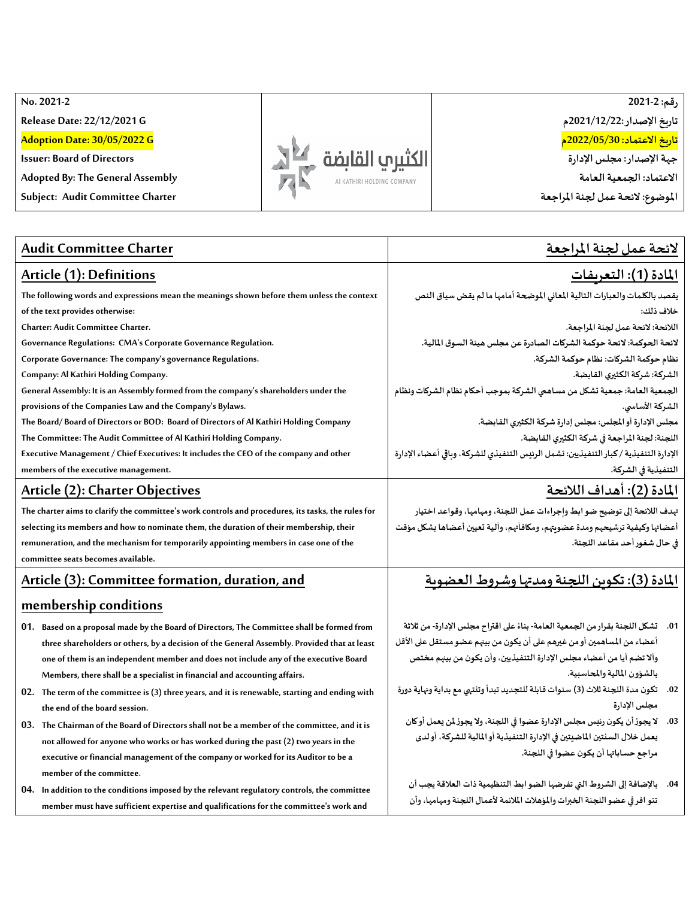**No. 2021 -2**

**Release Date: 22/12/2021 G**

**Adoption Date: 30/05/2022 G**

**Issuer: Board of Directors**

**Adopted By: The General Assembly**

**Subject: Audit Committee Charter**



**رقم: 2021-2 تاريخ اإلصدار : 2021/12/22م تاريخ االعتماد: 2022/05/30م جهةاإلصدار: مجلس اإلدارة االعتماد: الجمعية العامة**

**املوضوع: الئحـة عمل لجنةاملراجعة** 

| <b>Audit Committee Charter</b>                                                                     | لائحة عمل لجنة المراجعة                                                               |
|----------------------------------------------------------------------------------------------------|---------------------------------------------------------------------------------------|
| Article (1): Definitions                                                                           | <u> المادة (1): التعريفات</u>                                                         |
| The following words and expressions mean the meanings shown before them unless the context         | يقصد بالكلمات والعبارات التالية المعاني الموضحة أمامها ما لم يقض سياق النص            |
| of the text provides otherwise:                                                                    | خلاف ذلك:                                                                             |
| <b>Charter: Audit Committee Charter.</b>                                                           | اللائحة: لائحة عمل لجنة المراجعة.                                                     |
| Governance Regulations: CMA's Corporate Governance Regulation.                                     | لائحة الحوكمة: لائحة حوكمة الشركات الصادرة عن مجلس هيئة السوق المالية.                |
| Corporate Governance: The company's governance Regulations.                                        | نظام حوكمة الشركات: نظام حوكمة الشركة.                                                |
| Company: Al Kathiri Holding Company.                                                               | الشركة: شركة الكثيري القابضة.                                                         |
| General Assembly: It is an Assembly formed from the company's shareholders under the               | الجمعية العامة: جمعية تشكل من مساهمي الشركة بموجب أحكام نظام الشركات ونظام            |
| provisions of the Companies Law and the Company's Bylaws.                                          | الشركة الأساسي.                                                                       |
| The Board/Board of Directors or BOD: Board of Directors of Al Kathiri Holding Company              | مجلس الإدارة أو المجلس: مجلس إدارة شركة الكثيرى القابضة.                              |
| The Committee: The Audit Committee of Al Kathiri Holding Company.                                  | اللجنة: لجنة المراجعة في شركة الكثيري القابضة.                                        |
| Executive Management / Chief Executives: It includes the CEO of the company and other              | الإدارة التنفيذية / كبار التنفيذيين: تشمل الرئيس التنفيذي للشركة، وباقي أعضاء الإدارة |
| members of the executive management.                                                               | التنفيذية في الشركة.                                                                  |
| Article (2): Charter Objectives                                                                    | المادة (2): أهداف اللائحة                                                             |
| The charter aims to clarify the committee's work controls and procedures, its tasks, the rules for | تهدف اللائحة إلى توضيح ضو ابط وإجراءات عمل اللجنة، ومهامها، وقواعد اختيار             |
| selecting its members and how to nominate them, the duration of their membership, their            | أعضائها وكيفية ترشيحهم ومدة عضوبتهم، ومكافآتهم، وآلية تعيين أعضاها بشكل مؤقت          |
| remuneration, and the mechanism for temporarily appointing members in case one of the              | في حال شغور أحد مقاعد اللجنة.                                                         |
| committee seats becomes available.                                                                 |                                                                                       |
| Article (3): Committee formation, duration, and                                                    | <u>المادة (3): تكوين اللجنة ومدتها وشروط العضوية</u>                                  |
| membership conditions                                                                              |                                                                                       |
| 01. Based on a proposal made by the Board of Directors, The Committee shall be formed from         | 01.    تشكل اللجنة بقرار من الجمعية العامة- بناءً على اقتراح مجلس الإدارة- من ثلاثة   |
| three shareholders or others, by a decision of the General Assembly. Provided that at least        | أعضاء من المساهمين أو من غيرهم على أن يكون من بينهم عضو مستقل على الأقل               |
| one of them is an independent member and does not include any of the executive Board               | وألا تضم أيا من أعضاء مجلس الإدارة التنفيذيين، وأن يكون من بينهم مختص                 |
| Members, there shall be a specialist in financial and accounting affairs.                          | بالشؤون المالية والمحاسنية.                                                           |
| 02. The term of the committee is (3) three years, and it is renewable, starting and ending with    | 02. تكون مدة اللجنة ثلاث (3) سنوات قابلة للتجديد تبدأ وتنتهى مع بداية ونهاية دورة     |
| the end of the board session.                                                                      | مجلس الإدارة                                                                          |
| 03. The Chairman of the Board of Directors shall not be a member of the committee, and it is       | 03. لا يجوز أن يكون رئيس مجلس الإدارة عضوا في اللجنة، ولا يجوز لمن يعمل أوكان         |
| not allowed for anyone who works or has worked during the past (2) two years in the                | يعمل خلال السنتين الماضيتين في الإدارة التنفيذية أو المالية للشركة، أو لدى            |
| executive or financial management of the company or worked for its Auditor to be a                 | مراجع حساباتها أن يكون عضوا في اللجنة.                                                |
| member of the committee.                                                                           |                                                                                       |
| 04. In addition to the conditions imposed by the relevant regulatory controls, the committee       | 04. بالإضافة إلى الشروط التي تفرضها الضو ابط التنظيمية ذات العلاقة يجب أن             |
| member must have sufficient expertise and qualifications for the committee's work and              | تتو افر في عضو اللجنة الخبرات والمؤهلات الملائمة لأعمال اللجنة ومهامها، وأن           |
|                                                                                                    |                                                                                       |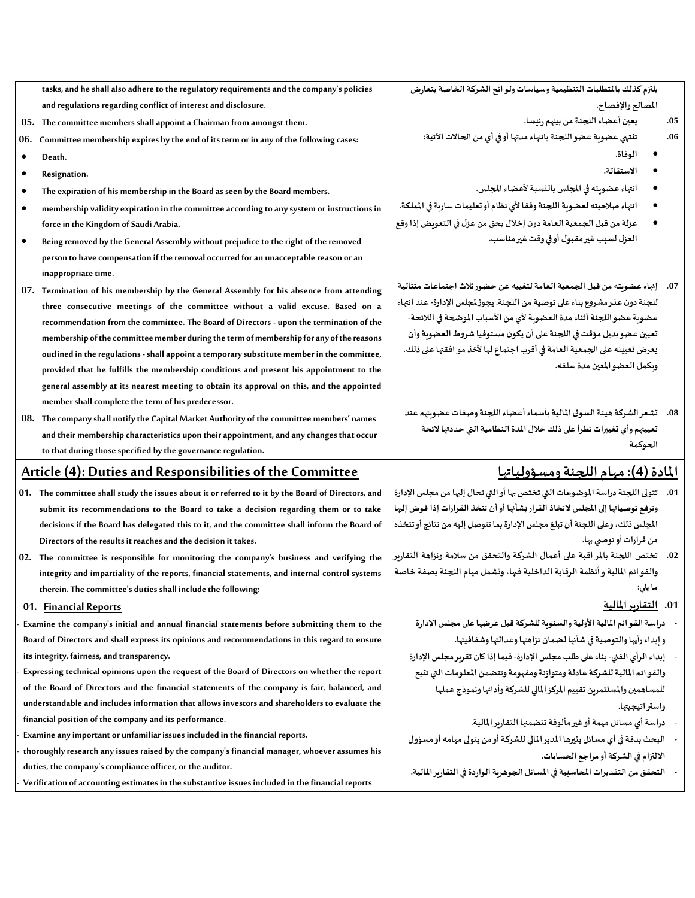**tasks, and he shall also adhere to the regulatory requirements and the company's policies and regulations regarding conflict of interest and disclosure.**

- **05. The committee members shall appoint a Chairman from amongst them.**
- **06. Committee membership expires by the end of its term or in any of the following cases:**
- **Death.**
- **Resignation.**
- **The expiration of his membership in the Board as seen by the Board members.**
- **membership validity expiration in the committee according to any system or instructions in force in the Kingdom of Saudi Arabia.**
- **Being removed by the General Assembly without prejudice to the right of the removed person to have compensation if the removal occurred for an unacceptable reason or an inappropriate time.**
- **07. Termination of his membership by the General Assembly for his absence from attending three consecutive meetings of the committee without a valid excuse. Based on a recommendation from the committee. The Board of Directors - upon the termination of the**  membership of the committee member during the term of membership for any of the reasons **outlined in the regulations -shall appoint a temporary substitute member in the committee, provided that he fulfills the membership conditions and present his appointment to the general assembly at its nearest meeting to obtain its approval on this, and the appointed member shall complete the term of his predecessor.**
- **08. The company shall notify the Capital Market Authority of the committee members' names and their membership characteristics upon their appointment, and any changes that occur to that during those specified by the governance regulation.**

## **Article (4): Duties and Responsibilities of the Committee**

- **01. The committee shall study the issues about it or referred to it by the Board of Directors, and submit its recommendations to the Board to take a decision regarding them or to take decisions if the Board has delegated this to it, and the committee shall inform the Board of Directors of the results it reaches and the decision it takes.**
- **02. The committee is responsible for monitoring the company's business and verifying the integrity and [impartiality](https://context.reverso.net/translation/english-arabic/impartiality) of the reports, financial statements, and internal control systems therein. The committee's duties shall include the following:**
- **01. Financial Reports**
- **Examine the company's initial and annual financial statements before submitting them to the Board of Directors and shall express its opinions and recommendations in this regard to ensure its integrity, fairness, and transparency.**
- **Expressing technical opinions upon the request of the Board of Directors on whether the report of the Board of Directors and the financial statements of the company is fair, balanced, and understandable and includes information that allows investors and shareholders to evaluate the financial position of the company and its performance.**
- **Examine any important or unfamiliar issues included in the financial reports.**
- **thoroughly research any issues raised by the company's financial manager, whoever assumes his duties, the company's compliance officer, or the auditor.**
- **Verification of accounting estimates in the substantive issues included in the financial reports**

يلتزم كذلك بالمتطلبات التنظيمية وسياسات ولو ائح الشركة الخاصة بتعارض **املصالح واإلفصاح.** 

- **.05 يعين أعضاء اللجنةمن بينهم رئيسا.**
- **.06 تنتهي عضوية عضو اللجنة بانتهاء مدتها أو في أي من الحاالت اآلتية:** 
	- **الوفاة.**
	- **االستقالة.**
	- **انتهاء عضويته في املجلس بالنسبة ألعضاء املجلس.**
- انتهاء صلاحيته لعضوية اللجنة وفقا لأي نظام أو تعليمات سارية في الملكة.
- **عزلةمن قبل الجمعيةالعامةدون إخالل بحق من عزل فيالتعويضإذاوقع العزل لسببغيرمقبول أوفيوقتغيرمناسب.**
- **.07 إنهاء عضويته من قبل الجمعية العامة لتغيبه عن حضورثالث اجتماعات متتالية للجنةدون عذرمشروع بناء علىتوصيةمن اللجنة. يجوزملجلس اإلدارة- عند انتهاء عضوية عضو اللجنة أثناء مدة العضوية ألي من األسباب املوضحة في الالئحة- تعيين عضوبديل مؤقتفياللجنة علىأن يكون مستوفيا شروطالعضويةوأن يعرض تعيينه على الجمعية العامة في أقرب اجتماع لها ألخذ مو افقتها على ذلك، ويكمل العضو املعين مدة سلفه.**
- **.08 تشعر الشركة هيئةالسوق املاليةبأسماء أعضاء اللجنةوصفاتعضويتهم عند تعيينهم وأي تغييرات تطرأ على ذلك خالل املدة النظامية التي حددتها الئحة الحوكمة**

## **املادة )4(:مهام اللجنةومسؤولياتها**

- **.01 تتولىاللجنةدراسةاملوضوعات التي تختصبها أوالتي تحال إليهامن مجلس اإلدارة وترفع توصياتها إلى املجلس التخاذ القرار بشأنها أو أن تتخذ القرارات إذافوض إليها املجلس ذلك،وعلىاللجنةأن تبلغ مجلس اإلدارةبما تتوصل إليهمن نتائج أوتتخذه** من قرارات أو توص*ى به*ا.
- **.02 تختص اللجنة باملر اقبة على أعمال الشركة والتحقق من سالمة ونزاهة التقارير والقوائم املاليةوأنظمةالرقابةالداخليةفيها، وتشمل مهام اللجنة بصفة خاصة ما يلي:** 
	- **.01 التقاريراملالية**
	- **- دراسةالقوائم املاليةاألوليةوالسنويةللشركةقبل عرضها علىمجلس اإلدارة وإبداءرأيهاوالتوصيةفي شأنها لضمان نزاهتهاوعدالتهاوشفافيتها.**
	- **- إبداء الرأي الفني- بناء على طلبمجلس اإلدارة-فيما إذا كان تقرير مجلس اإلدارة والقوائم املاليةللشركة عادلةومتوازنةومفهومةوتتضمن املعلومات التي تتيح للمساهمين واملستثمرين تقييم املركز املالي للشركة وأدائها ونموذج عملها وإستراتيجيتها.** 
		- **- دراسةأي مسائل مهمةأوغيرمألوفةتتضمنها التقاريراملالية.**
	- **- البحثبدقةفيأي مسائل يثيرها املديراملالي للشركةأومن يتولىمهامهأومسؤول االلتزام في الشركة أو مراجع الحسابات.**
	- **- التحقق من التقديرات املحاسبيةفياملسائل الجوهريةالواردة فيالتقاريراملالية.**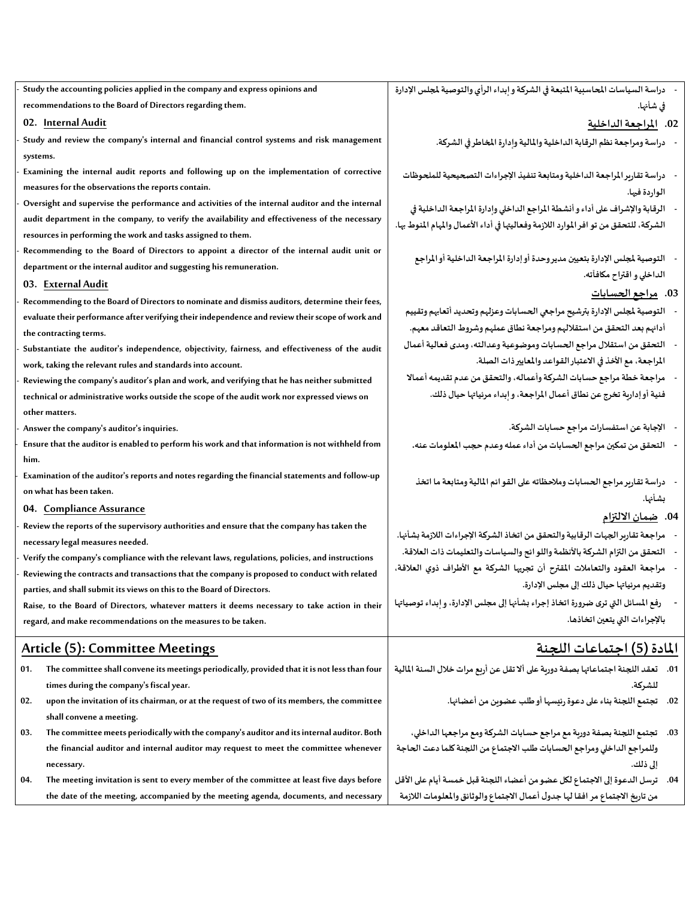| Study the accounting policies applied in the company and express opinions and                                                                                     | دراسة السياسات المحاسبية المتبعة في الشركة و إبداء الرأي والتوصية لمجلس الإدارة        |
|-------------------------------------------------------------------------------------------------------------------------------------------------------------------|----------------------------------------------------------------------------------------|
| recommendations to the Board of Directors regarding them.                                                                                                         | في شأنها.                                                                              |
| 02. Internal Audit                                                                                                                                                | 02. للراجعة الداخلية                                                                   |
| Study and review the company's internal and financial control systems and risk management                                                                         | دراسة ومراجعة نظم الرقابة الداخلية والمالية وإدارة المخاطر في الشركة.                  |
| systems.                                                                                                                                                          |                                                                                        |
| Examining the internal audit reports and following up on the implementation of corrective                                                                         | دراسة تقارير المراجعة الداخلية ومتابعة تنفيذ الإجراءات التصحيحية للملحوظات             |
| measures for the observations the reports contain.                                                                                                                | الواردة فيها.                                                                          |
| Oversight and supervise the performance and activities of the internal auditor and the internal                                                                   | الرقابة والإشراف على أداء و أنشطة المراجع الداخلي وإدارة المراجعة الداخلية في          |
| audit department in the company, to verify the availability and effectiveness of the necessary<br>resources in performing the work and tasks assigned to them.    | الشركة، للتحقق من تو افر الموارد اللازمة وفعاليتها في أداء الأعمال والمهام المنوط بها. |
| Recommending to the Board of Directors to appoint a director of the internal audit unit or<br>department or the internal auditor and suggesting his remuneration. | التوصية لمجلس الإدارة بتعيين مديروحدة أوإدارة المراجعة الداخلية أوالمراجع              |
| 03. External Audit                                                                                                                                                | الداخلي و اقتراح مكافآته.                                                              |
| Recommending to the Board of Directors to nominate and dismiss auditors, determine their fees,                                                                    | 03. مراجع الحسا <u>بات</u>                                                             |
| evaluate their performance after verifying their independence and review their scope of work and                                                                  | التوصية لمجلس الإدارة بترشيح مراجعي الحسابات وعزلهم وتحديد أتعابهم وتقييم              |
| the contracting terms.                                                                                                                                            | أدائهم بعد التحقق من استقلالهم ومراجعة نطاق عملهم وشروط التعاقد معهم.                  |
| Substantiate the auditor's independence, objectivity, fairness, and effectiveness of the audit                                                                    | النحقق من استقلال مراجع الحسابات وموضوعية وعدالته، ومدى فعالية أعمال                   |
| work, taking the relevant rules and standards into account.                                                                                                       | المراجعة، مع الأخذ في الاعتبار القواعد والمعايير ذات الصلة.                            |
| Reviewing the company's auditor's plan and work, and verifying that he has neither submitted                                                                      | مراجعة خطة مراجع حسابات الشركة وأعماله، والتحقق من عدم تقديمه أعمالا                   |
| technical or administrative works outside the scope of the audit work nor expressed views on<br>other matters.                                                    | فنية أو إدارية تخرج عن نطاق أعمال المراجعة، و ابداء مرئياتها حيال ذلك.                 |
| Answer the company's auditor's inquiries.                                                                                                                         | -    الإجابة عن استفسارات مراجع حسابات الشركة.                                         |
| Ensure that the auditor is enabled to perform his work and that information is not withheld from<br>him.                                                          | التحقق من تمكين مراجع الحسابات من أداء عمله وعدم حجب المعلومات عنه.                    |
| Examination of the auditor's reports and notes regarding the financial statements and follow-up<br>on what has been taken.                                        | دراسة تقاربر مراجع الحسابات وملاحظاته على القو ائم المالية ومتابعة ما اتخذ             |
| 04. Compliance Assurance                                                                                                                                          | بشأنها.                                                                                |
| Review the reports of the supervisory authorities and ensure that the company has taken the                                                                       | 04. <u>ضمان</u> الالتزام                                                               |
| necessary legal measures needed.                                                                                                                                  | مراجعة تقاربر الجهات الرقابية والتحقق من اتخاذ الشركة الإجراءات اللازمة بشأنها.        |
| Verify the company's compliance with the relevant laws, regulations, policies, and instructions                                                                   | التحقق من التزام الشركة بالأنظمة واللو ائح والسياسات والتعليمات ذات العلاقة.           |
| Reviewing the contracts and transactions that the company is proposed to conduct with related                                                                     | مراجعة العقود والتعاملات المقترح أن تجريها الشركة مع الأطراف ذوي العلاقة،              |
| parties, and shall submit its views on this to the Board of Directors.                                                                                            | وتقديم مرئياتها حيال ذلك إلى مجلس الإدارة.                                             |
| Raise, to the Board of Directors, whatever matters it deems necessary to take action in their                                                                     | رفع المسائل التي ترى ضرورة اتخاذ إجراء بشأنها إلى مجلس الإدارة، و ابداء توصياتها       |
| regard, and make recommendations on the measures to be taken.                                                                                                     | بالإجراءات التي يتعين اتخاذها.                                                         |
| <b>Article (5): Committee Meetings</b>                                                                                                                            | المادة (5) احتماعات اللحنة                                                             |
| The committee shall convene its meetings periodically, provided that it is not less than four<br>01.                                                              | 01.    تعقد اللجنة اجتماعاتها بصفة دورية على ألا تقل عن أربع مرات خلال السنة المالية   |
| times during the company's fiscal year.                                                                                                                           | للشركة.                                                                                |
| upon the invitation of its chairman, or at the request of two of its members, the committee<br>02.                                                                | 02.    تجتمع اللجنة بناء على دعوة رئيسها أو طلب عضوين من أعضائها.                      |
| shall convene a meeting.                                                                                                                                          |                                                                                        |
| The committee meets periodically with the company's auditor and its internal auditor. Both<br>03.                                                                 | 03.     تجتمع اللجنة بصفة دوربة مع مراجع حسابات الشركة ومع مراجعها الداخلي،            |
| the financial auditor and internal auditor may request to meet the committee whenever<br>necessary.                                                               | وللمراجع الداخلي ومراجع الحسابات طلب الاجتماع من اللجنة كلما دعت الحاجة<br>إلى ذلك.    |
| The meeting invitation is sent to every member of the committee at least five days before<br>04.                                                                  | 04.     ترسل الدعوة إلى الاجتماع لكل عضو من أعضاء اللجنة قبل خمسة أيام على الأقل       |
| the date of the meeting, accompanied by the meeting agenda, documents, and necessary                                                                              | من تاربخ الاجتماع مر افقا لها جدول أعمال الاجتماع والوثائق والمعلومات اللازمة          |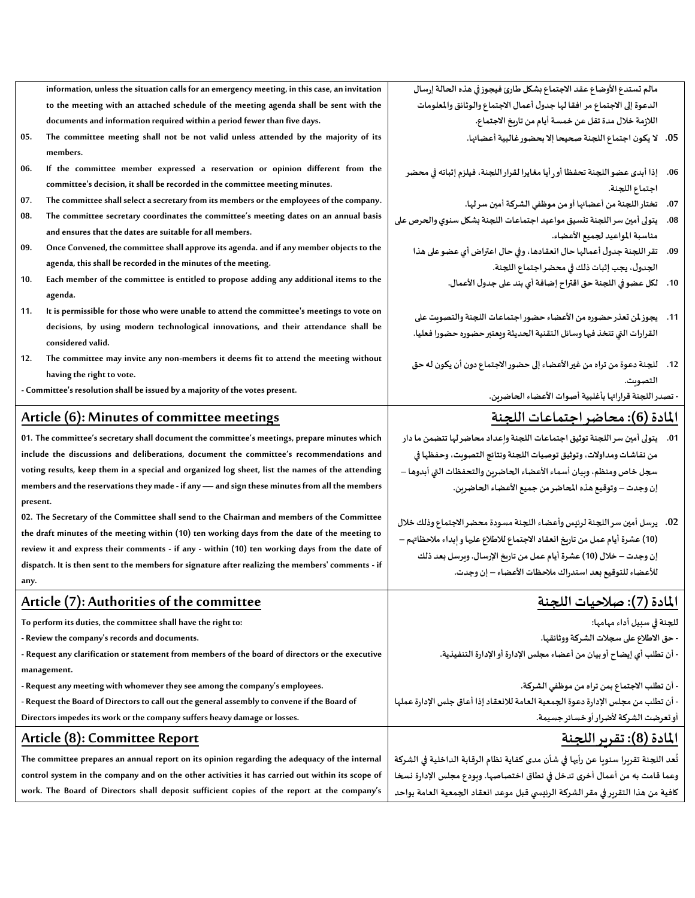|          | information, unless the situation calls for an emergency meeting, in this case, an invitation                                                                                                   | مالم تستدع الأوضاع عقد الاجتماع بشكل طارئ فيجوز في هذه الحالة إرسال                 |
|----------|-------------------------------------------------------------------------------------------------------------------------------------------------------------------------------------------------|-------------------------------------------------------------------------------------|
|          | to the meeting with an attached schedule of the meeting agenda shall be sent with the                                                                                                           | الدعوة إلى الاجتماع مر افقا لها جدول أعمال الاجتماع والوثائق والمعلومات             |
|          | documents and information required within a period fewer than five days.                                                                                                                        | اللازمة خلال مدة تقل عن خمسة أيام من تاريخ الاجتماع.                                |
| 05.      | The committee meeting shall not be not valid unless attended by the majority of its<br>members.                                                                                                 | 05. لا يكون اجتماع اللجنة صحيحا إلا بحضور غالبية أعضائها.                           |
| 06.      | If the committee member expressed a reservation or opinion different from the                                                                                                                   | 06.     إذا أبدى عضو اللجنة تحفظا أو رأيا مغايرا لقرار اللجنة، فيلزم إثباته في محضر |
|          | committee's decision, it shall be recorded in the committee meeting minutes.                                                                                                                    | اجتماع اللجنة.                                                                      |
| 07.      | The committee shall select a secretary from its members or the employees of the company.                                                                                                        | تختار اللجنة من أعضائها أو من موظفي الشركة أمين سر لها.<br>.07                      |
| 08.      | The committee secretary coordinates the committee's meeting dates on an annual basis                                                                                                            | يتولى أمين سر اللجنة تنسيق مواعيد اجتماعات اللجنة بشكل سنوي والحرص على<br>.08       |
|          | and ensures that the dates are suitable for all members.                                                                                                                                        | مناسبة المواعيد لجميع الأعضاء.                                                      |
| 09.      | Once Convened, the committee shall approve its agenda. and if any member objects to the                                                                                                         | 09. تقر اللجنة جدول أعمالها حال انعقادها، وفي حال اعتراض أي عضو على هذا             |
|          | agenda, this shall be recorded in the minutes of the meeting.                                                                                                                                   | الجدول، يجب إثبات ذلك في محضر اجتماع اللجنة.                                        |
| 10.      | Each member of the committee is entitled to propose adding any additional items to the<br>agenda.                                                                                               | 10. لكل عضو في اللجنة حق اقتراح إضافة أي بند على جدول الأعمال.                      |
| 11.      | It is permissible for those who were unable to attend the committee's meetings to vote on                                                                                                       |                                                                                     |
|          | decisions, by using modern technological innovations, and their attendance shall be                                                                                                             | 11.    يجوز لمن تعذر حضوره من الأعضاء حضور اجتماعات اللجنة والتصوبت على             |
|          | considered valid.                                                                                                                                                                               | القرارات التي تتخذ فيها وسائل التقنية الحديثة ويعتبر حضوره حضورا فعليا.             |
| 12.      | The committee may invite any non-members it deems fit to attend the meeting without                                                                                                             | 12.     للجنة دعوة من تراه من غير الأعضاء إلى حضور الاجتماع دون أن يكون له حق       |
|          | having the right to vote.                                                                                                                                                                       | التصوت.                                                                             |
|          | - Committee's resolution shall be issued by a majority of the votes present.                                                                                                                    | - تصدر اللجنة قراراتها بأغلبية أصوات الأعضاء الحاضرين.                              |
|          | Article (6): Minutes of committee meetings                                                                                                                                                      | المادة (6): محاضر اجتماعات اللجنة                                                   |
|          | 01. The committee's secretary shall document the committee's meetings, prepare minutes which                                                                                                    | 01.     يتولى أمين سر اللجنة توثيق اجتماعات اللجنة وإعداد محاضر لها تتضمن ما دار    |
|          |                                                                                                                                                                                                 |                                                                                     |
|          | include the discussions and deliberations, document the committee's recommendations and                                                                                                         |                                                                                     |
|          |                                                                                                                                                                                                 | من نقاشات ومداولات، وتوثيق توصيات اللجنة ونتائج التصويت، وحفظها في                  |
|          | voting results, keep them in a special and organized log sheet, list the names of the attending                                                                                                 | سجل خاص ومنظم، وبيان أسماء الأعضاء الحاضرين والتحفظات التي أبدوها –                 |
| present. | members and the reservations they made - if any - and sign these minutes from all the members                                                                                                   | إن وجدت – وتوقيع هذه المحاضر من جميع الأعضاء الحاضرين.                              |
|          | 02. The Secretary of the Committee shall send to the Chairman and members of the Committee                                                                                                      |                                                                                     |
|          | the draft minutes of the meeting within (10) ten working days from the date of the meeting to                                                                                                   | 02.   يرسل أمين سر اللجنة لرئيس وأعضاء اللجنة مسودة محضر الاجتماع وذلك خلال         |
|          | review it and express their comments - if any - within (10) ten working days from the date of                                                                                                   | (10) عشرة أيام عمل من تاريخ انعقاد الاجتماع للاطلاع عليها و إبداء ملاحظاتهم –       |
|          | dispatch. It is then sent to the members for signature after realizing the members' comments - if                                                                                               | إن وجدت – خلال (10) عشرة أيام عمل من تاريخ الإرسال. وبرسل بعد ذلك                   |
| any.     |                                                                                                                                                                                                 | للأعضاء للتوقيع بعد استدراك ملاحظات الأعضاء – إن وجدت.                              |
|          | Article (7): Authorities of the committee                                                                                                                                                       | <u>المادة (7): صلاحيات اللجنة</u>                                                   |
|          | To perform its duties, the committee shall have the right to:                                                                                                                                   | للجنة في سبيل أداء مهامها:                                                          |
|          | - Review the company's records and documents.                                                                                                                                                   | · حق الاطلاع على سجلات الشركة ووثائقها.                                             |
|          | - Request any clarification or statement from members of the board of directors or the executive                                                                                                | أن تطلب أي إيضاح أو بيان من أعضاء مجلس الإدارة أو الإدارة التنفيذية.                |
|          | management.                                                                                                                                                                                     |                                                                                     |
|          | - Request any meeting with whomever they see among the company's employees.                                                                                                                     | - أن تطلب الاجتماع بمن تراه من موظفي الشركة.                                        |
|          | - Request the Board of Directors to call out the general assembly to convene if the Board of                                                                                                    | · أن تطلب من مجلس الإدارة دعوة الجمعية العامة للانعقاد إذا أعاق جلس الإدارة عملها   |
|          | Directors impedes its work or the company suffers heavy damage or losses.                                                                                                                       | أو تعرضت الشركة لأضرار أو خسائر جسيمة.                                              |
|          | Article (8): Committee Report                                                                                                                                                                   | <u>المادة (8): تقرير اللجنة</u>                                                     |
|          | The committee prepares an annual report on its opinion regarding the adequacy of the internal                                                                                                   | تُعد اللجنة تقربرا سنويا عن رأيها في شأن مدى كفاية نظام الرقابة الداخلية في الشركة  |
|          | control system in the company and on the other activities it has carried out within its scope of<br>work. The Board of Directors shall deposit sufficient copies of the report at the company's | وعما قامت به من أعمال أخرى تدخل في نطاق اختصاصها. وبودع مجلس الإدارة نسخا           |